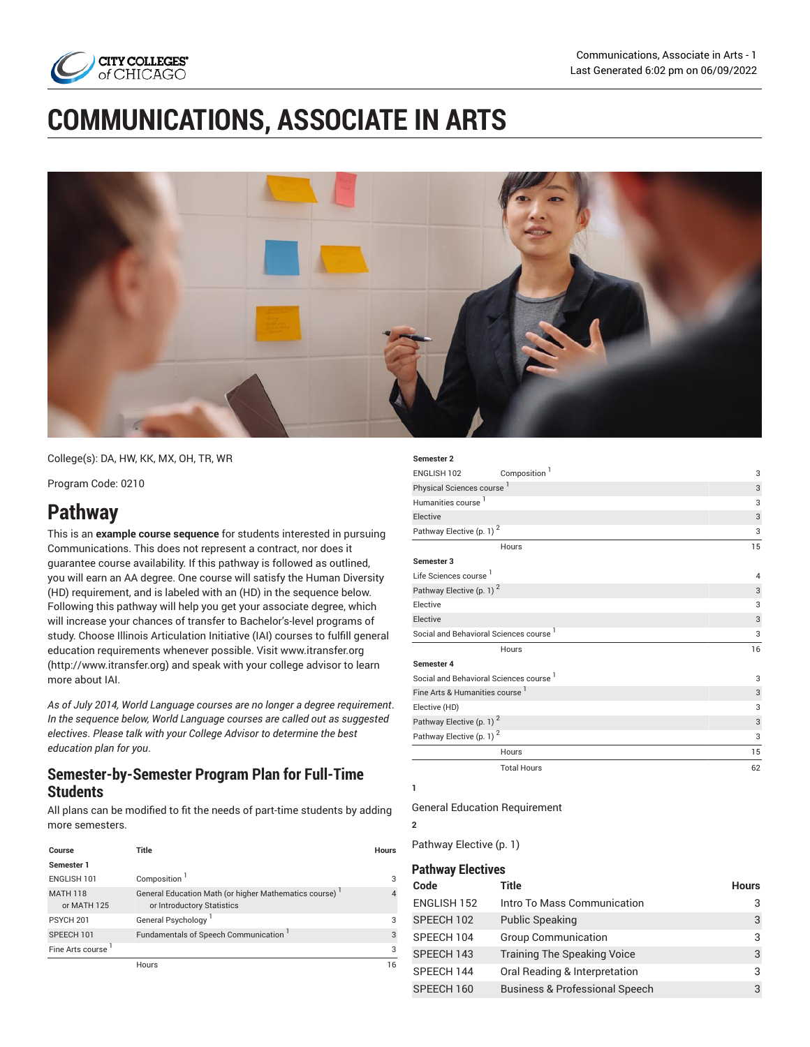

# **COMMUNICATIONS, ASSOCIATE IN ARTS**



College(s): DA, HW, KK, MX, OH, TR, WR

Program Code: 0210

## **Pathway**

This is an **example course sequence** for students interested in pursuing Communications. This does not represent a contract, nor does it guarantee course availability. If this pathway is followed as outlined, you will earn an AA degree. One course will satisfy the Human Diversity (HD) requirement, and is labeled with an (HD) in the sequence below. Following this pathway will help you get your associate degree, which will increase your chances of transfer to Bachelor's-level programs of study. Choose Illinois Articulation Initiative (IAI) courses to fulfill general education requirements whenever possible. Visit [www.itransfer.org](http://www.itransfer.org) (<http://www.itransfer.org>) and speak with your college advisor to learn more about IAI.

*As of July 2014, World Language courses are no longer a degree requirement*. *In the sequence below, World Language courses are called out as suggested electives*. *Please talk with your College Advisor to determine the best education plan for you*.

### **Semester-by-Semester Program Plan for Full-Time Students**

All plans can be modified to fit the needs of part-time students by adding more semesters.

| Course                         | Title                                                                               | Hours          |
|--------------------------------|-------------------------------------------------------------------------------------|----------------|
| Semester 1                     |                                                                                     |                |
| ENGLISH 101                    | Composition <sup>1</sup>                                                            | 3              |
| <b>MATH 118</b><br>or MATH 125 | General Education Math (or higher Mathematics course)<br>or Introductory Statistics | $\overline{4}$ |
| PSYCH <sub>201</sub>           | General Psychology <sup>1</sup>                                                     | 3              |
| SPEECH 101                     | Fundamentals of Speech Communication                                                | 3              |
| Fine Arts course 1             |                                                                                     | 3              |
|                                | Hours                                                                               | 16             |

| Semester <sub>2</sub>                              |                          |                |
|----------------------------------------------------|--------------------------|----------------|
| ENGLISH 102                                        | Composition <sup>1</sup> | 3              |
| Physical Sciences course <sup>1</sup>              |                          | 3              |
| Humanities course <sup>1</sup>                     |                          | 3              |
| Elective                                           |                          | 3              |
| Pathway Elective (p. 1) <sup>2</sup>               |                          | 3              |
|                                                    | Hours                    | 15             |
| Semester 3                                         |                          |                |
| Life Sciences course <sup>1</sup>                  |                          | $\overline{4}$ |
| Pathway Elective (p. 1) <sup>2</sup>               |                          | 3              |
| Elective                                           |                          | 3              |
| Elective                                           |                          | 3              |
| Social and Behavioral Sciences course <sup>1</sup> |                          | 3              |
|                                                    | Hours                    | 16             |
| Semester 4                                         |                          |                |
| Social and Behavioral Sciences course <sup>1</sup> |                          | 3              |
| Fine Arts & Humanities course <sup>1</sup>         |                          | 3              |
| Elective (HD)                                      |                          | 3              |
| Pathway Elective (p. 1) <sup>2</sup>               |                          | 3              |
| Pathway Elective (p. 1) <sup>2</sup>               |                          | 3              |
|                                                    | Hours                    | 15             |
|                                                    | <b>Total Hours</b>       | 62             |

**1**

**2**

General Education Requirement

[Pathway](#page-0-0) Elective [\(p. 1](#page-0-0))

#### <span id="page-0-0"></span>**Pathway Electives**

| Code               | <b>Title</b>                              | <b>Hours</b> |  |  |  |
|--------------------|-------------------------------------------|--------------|--|--|--|
| <b>ENGLISH 152</b> | Intro To Mass Communication               | 3            |  |  |  |
| SPEECH 102         | <b>Public Speaking</b>                    | 3            |  |  |  |
| SPEECH 104         | <b>Group Communication</b>                | 3            |  |  |  |
| SPEECH 143         | <b>Training The Speaking Voice</b>        | 3            |  |  |  |
| SPEECH 144         | Oral Reading & Interpretation             | 3            |  |  |  |
| SPEECH 160         | <b>Business &amp; Professional Speech</b> | 3            |  |  |  |